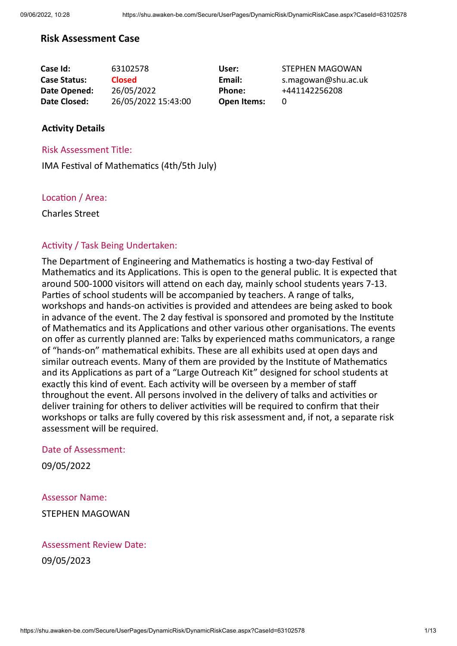# **Risk Assessment Case**

| Case Id:            | 63102578            | User:              | STEPHEN MAGOWAN     |
|---------------------|---------------------|--------------------|---------------------|
| <b>Case Status:</b> | <b>Closed</b>       | Email:             | s.magowan@shu.ac.uk |
| Date Opened:        | 26/05/2022          | Phone:             | +441142256208       |
| Date Closed:        | 26/05/2022 15:43:00 | <b>Open Items:</b> |                     |

## **Activity Details**

### Risk Assessment Title:

IMA Festival of Mathematics (4th/5th July)

## Location / Area:

Charles Street

# Activity / Task Being Undertaken:

The Department of Engineering and Mathematics is hosting a two-day Festival of Mathematics and its Applications. This is open to the general public. It is expected that around 500-1000 visitors will attend on each day, mainly school students years 7-13. Parties of school students will be accompanied by teachers. A range of talks, workshops and hands-on activities is provided and attendees are being asked to book in advance of the event. The 2 day festival is sponsored and promoted by the Institute of Mathematics and its Applications and other various other organisations. The events on offer as currently planned are: Talks by experienced maths communicators, a range of "hands-on" mathematical exhibits. These are all exhibits used at open days and similar outreach events. Many of them are provided by the Institute of Mathematics and its Applications as part of a "Large Outreach Kit" designed for school students at exactly this kind of event. Each activity will be overseen by a member of staff throughout the event. All persons involved in the delivery of talks and activities or deliver training for others to deliver activities will be required to confirm that their workshops or talks are fully covered by this risk assessment and, if not, a separate risk assessment will be required.

## Date of Assessment:

09/05/2022

## Assessor Name:

STEPHEN MAGOWAN

## Assessment Review Date:

09/05/2023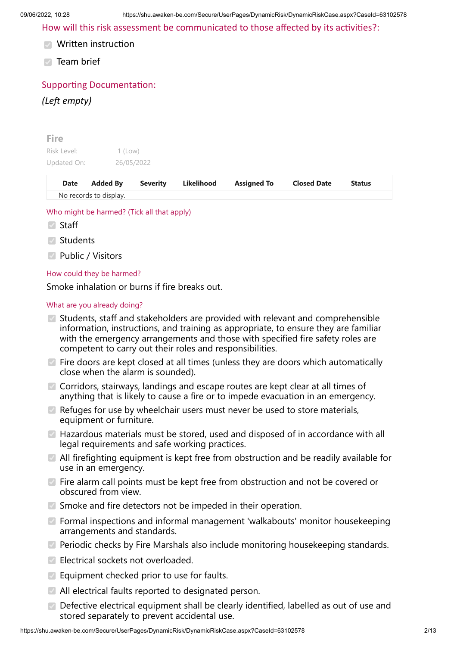How will this risk assessment be communicated to those affected by its activities?:

- **Written instruction**
- $\triangledown$  Team brief

# Supporting Documentation:

# *(Left empty)*

| <b>Fire</b><br>Risk Level:<br>Updated On: | $1$ (Low)              | 26/05/2022      |            |                    |                    |               |  |
|-------------------------------------------|------------------------|-----------------|------------|--------------------|--------------------|---------------|--|
| <b>Date</b>                               | <b>Added By</b>        | <b>Severity</b> | Likelihood | <b>Assigned To</b> | <b>Closed Date</b> | <b>Status</b> |  |
|                                           | No records to display. |                 |            |                    |                    |               |  |

Who might be harmed? (Tick all that apply)

- $\sqrt{ }$  Staff
- **⊘** Students
- $\sqrt{ }$  Public / Visitors

## How could they be harmed?

Smoke inhalation or burns if fire breaks out.

#### What are you already doing?

- $\heartsuit$  Students, staff and stakeholders are provided with relevant and comprehensible information, instructions, and training as appropriate, to ensure they are familiar with the emergency arrangements and those with specified fire safety roles are competent to carry out their roles and responsibilities.
- **Fire doors are kept closed at all times (unless they are doors which automatically** close when the alarm is sounded).
- Corridors, stairways, landings and escape routes are kept clear at all times of anything that is likely to cause a fire or to impede evacuation in an emergency.
- Refuges for use by wheelchair users must never be used to store materials, equipment or furniture.
- Hazardous materials must be stored, used and disposed of in accordance with all legal requirements and safe working practices.
- All firefighting equipment is kept free from obstruction and be readily available for use in an emergency.
- **Example 1** Fire alarm call points must be kept free from obstruction and not be covered or obscured from view.
- Smoke and fire detectors not be impeded in their operation.
- Formal inspections and informal management 'walkabouts' monitor housekeeping arrangements and standards.
- **Periodic checks by Fire Marshals also include monitoring housekeeping standards.**
- $\vee$  Electrical sockets not overloaded.
- $\heartsuit$  Equipment checked prior to use for faults.
- All electrical faults reported to designated person.
- **Z** Defective electrical equipment shall be clearly identified, labelled as out of use and stored separately to prevent accidental use.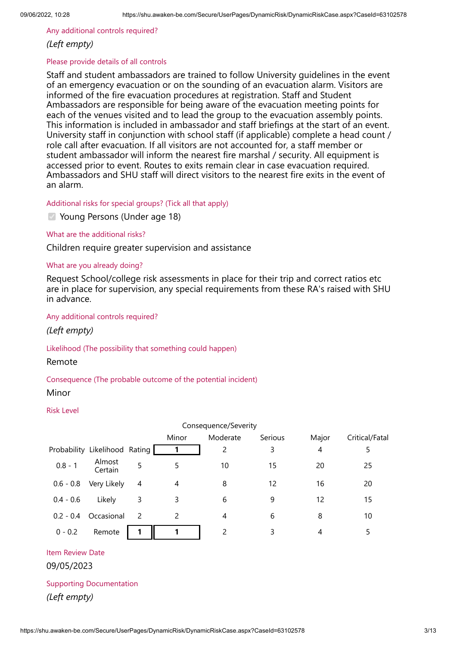Any additional controls required?

# *(Left empty)*

## Please provide details of all controls

Staff and student ambassadors are trained to follow University guidelines in the event of an emergency evacuation or on the sounding of an evacuation alarm. Visitors are informed of the fire evacuation procedures at registration. Staff and Student Ambassadors are responsible for being aware of the evacuation meeting points for each of the venues visited and to lead the group to the evacuation assembly points. This information is included in ambassador and staff briefings at the start of an event. University staff in conjunction with school staff (if applicable) complete a head count / role call after evacuation. If all visitors are not accounted for, a staff member or student ambassador will inform the nearest fire marshal / security. All equipment is accessed prior to event. Routes to exits remain clear in case evacuation required. Ambassadors and SHU staff will direct visitors to the nearest fire exits in the event of an alarm.

Additional risks for special groups? (Tick all that apply)

Young Persons (Under age 18)

## What are the additional risks?

Children require greater supervision and assistance

## What are you already doing?

Request School/college risk assessments in place for their trip and correct ratios etc are in place for supervision, any special requirements from these RA's raised with SHU in advance.

## Any additional controls required?

*(Left empty)*

Likelihood (The possibility that something could happen)

## Remote

Consequence (The probable outcome of the potential incident)

## Minor

## Risk Level

|             | Consequence/Severity          |                |               |          |         |       |                |  |  |  |  |  |
|-------------|-------------------------------|----------------|---------------|----------|---------|-------|----------------|--|--|--|--|--|
|             |                               |                | Minor         | Moderate | Serious | Major | Critical/Fatal |  |  |  |  |  |
|             | Probability Likelihood Rating |                |               | 2        | 3       | 4     | 5              |  |  |  |  |  |
| $0.8 - 1$   | Almost<br>Certain             | 5              | 5             | 10       | 15      | 20    | 25             |  |  |  |  |  |
| $0.6 - 0.8$ | Very Likely                   | $\overline{4}$ | 4             | 8        | 12      | 16    | 20             |  |  |  |  |  |
| $0.4 - 0.6$ | Likely                        | 3              | 3             | 6        | 9       | 12    | 15             |  |  |  |  |  |
| $0.2 - 0.4$ | Occasional                    | $\mathcal{P}$  | $\mathcal{P}$ | 4        | 6       | 8     | 10             |  |  |  |  |  |
| $0 - 0.2$   | Remote                        |                |               | 2        | 3       | 4     | 5              |  |  |  |  |  |

Item Review Date

09/05/2023

## Supporting Documentation

*(Left empty)*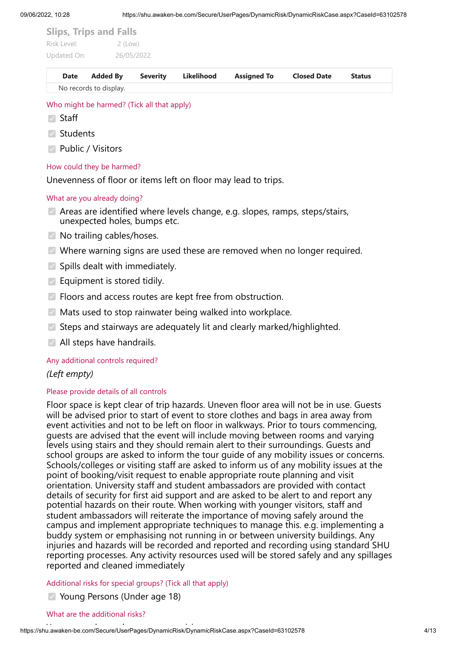## **Slips, Trips and Falls**

| Risk Level: | $2$ (Low)  |
|-------------|------------|
| Updated On: | 26/05/2022 |

| Date | Added By Severity      |  | / Likelihood Assigned To | <b>Closed Date</b> | <b>Status</b> |  |
|------|------------------------|--|--------------------------|--------------------|---------------|--|
|      | No records to display. |  |                          |                    |               |  |

Who might be harmed? (Tick all that apply)

- $\triangledown$  Staff
- $\sqrt{ }$  Students
- **▶ Public / Visitors**

#### How could they be harmed?

Unevenness of floor or items left on floor may lead to trips.

### What are you already doing?

- Areas are identified where levels change, e.g. slopes, ramps, steps/stairs, unexpected holes, bumps etc.
- $\vee$  No trailing cables/hoses.
- Where warning signs are used these are removed when no longer required.
- $\heartsuit$  Spills dealt with immediately.
- $\vee$  Equipment is stored tidily.
- **Z** Floors and access routes are kept free from obstruction.
- Mats used to stop rainwater being walked into workplace.
- Steps and stairways are adequately lit and clearly marked/highlighted.
- $\vee$  All steps have handrails.

## Any additional controls required?

## *(Left empty)*

## Please provide details of all controls

Floor space is kept clear of trip hazards. Uneven floor area will not be in use. Guests will be advised prior to start of event to store clothes and bags in area away from event activities and not to be left on floor in walkways. Prior to tours commencing, guests are advised that the event will include moving between rooms and varying levels using stairs and they should remain alert to their surroundings. Guests and school groups are asked to inform the tour guide of any mobility issues or concerns. Schools/colleges or visiting staff are asked to inform us of any mobility issues at the point of booking/visit request to enable appropriate route planning and visit orientation. University staff and student ambassadors are provided with contact details of security for first aid support and are asked to be alert to and report any potential hazards on their route. When working with younger visitors, staff and student ambassadors will reiterate the importance of moving safely around the campus and implement appropriate techniques to manage this. e.g. implementing a buddy system or emphasising not running in or between university buildings. Any injuries and hazards will be recorded and reported and recording using standard SHU reporting processes. Any activity resources used will be stored safely and any spillages reported and cleaned immediately

## Additional risks for special groups? (Tick all that apply)

Young Persons (Under age 18)

#### What are the additional risks?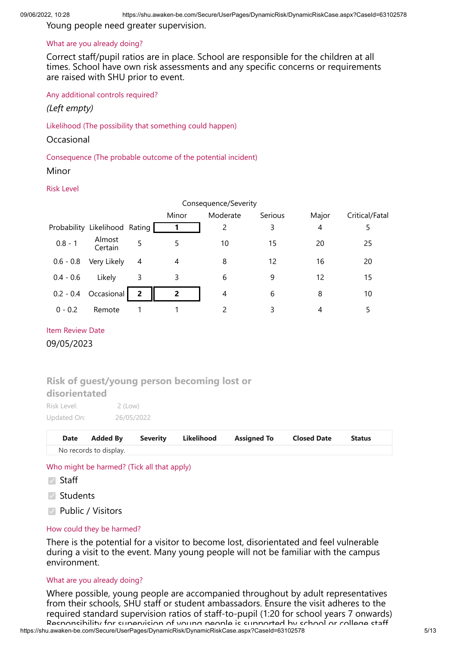Young people need greater supervision.

## What are you already doing?

Correct staff/pupil ratios are in place. School are responsible for the children at all times. School have own risk assessments and any specific concerns or requirements are raised with SHU prior to event.

Any additional controls required?

*(Left empty)*

Likelihood (The possibility that something could happen)

## Occasional

Consequence (The probable outcome of the potential incident)

## Minor

## Risk Level

|             | Consequence/Severity          |                |       |          |         |       |                |  |  |  |  |  |
|-------------|-------------------------------|----------------|-------|----------|---------|-------|----------------|--|--|--|--|--|
|             |                               |                | Minor | Moderate | Serious | Major | Critical/Fatal |  |  |  |  |  |
|             | Probability Likelihood Rating |                |       | 2        | 3       | 4     | 5              |  |  |  |  |  |
| $0.8 - 1$   | Almost<br>Certain             | 5              | 5     | 10       | 15      | 20    | 25             |  |  |  |  |  |
| $0.6 - 0.8$ | Very Likely                   | $\overline{4}$ | 4     | 8        | 12      | 16    | 20             |  |  |  |  |  |
| $0.4 - 0.6$ | Likely                        | 3              | 3     | 6        | 9       | 12    | 15             |  |  |  |  |  |
|             | 0.2 - 0.4 Occasional          | $\overline{2}$ | 2     | 4        | 6       | 8     | 10             |  |  |  |  |  |
| $0 - 0.2$   | Remote                        |                |       | 2        | 3       | 4     | 5              |  |  |  |  |  |

## Item Review Date

09/05/2023

**Risk of guest/young person becoming lost or**

## **disorientated**

Risk Level: 2 (Low) Updated On: 26/05/2022

| Date |                        |  | Added By Severity Likelihood Assigned To | <b>Closed Date</b> | <b>Status</b> |  |
|------|------------------------|--|------------------------------------------|--------------------|---------------|--|
|      | No records to display. |  |                                          |                    |               |  |

Who might be harmed? (Tick all that apply)

- **⊘** Staff
- **☑** Students
- **■** Public / Visitors

## How could they be harmed?

There is the potential for a visitor to become lost, disorientated and feel vulnerable during a visit to the event. Many young people will not be familiar with the campus environment.

## What are you already doing?

Where possible, young people are accompanied throughout by adult representatives from their schools, SHU staff or student ambassadors. Ensure the visit adheres to the required standard supervision ratios of staff-to-pupil (1:20 for school years 7 onwards) Responsibility for supervision of young people is supported by school or college staff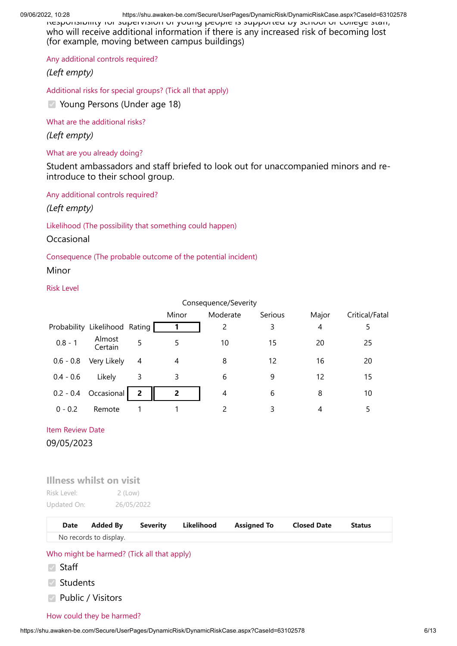09/06/2022, 10:28 https://shu.awaken-be.com/Secure/UserPages/DynamicRisk/DynamicRiskCase.aspx?CaseId=63102578

Responsibility for supervision of young people is supported by school or college stan, who will receive additional information if there is any increased risk of becoming lost (for example, moving between campus buildings)

Any additional controls required?

*(Left empty)*

Additional risks for special groups? (Tick all that apply)

Young Persons (Under age 18)

What are the additional risks?

*(Left empty)*

What are you already doing?

Student ambassadors and staff briefed to look out for unaccompanied minors and reintroduce to their school group.

Any additional controls required?

*(Left empty)*

Likelihood (The possibility that something could happen)

Occasional

Consequence (The probable outcome of the potential incident)

#### Minor

#### Risk Level

|             | Consequence/Severity          |                |                |          |         |       |                |  |  |  |  |  |
|-------------|-------------------------------|----------------|----------------|----------|---------|-------|----------------|--|--|--|--|--|
|             |                               |                | Minor          | Moderate | Serious | Major | Critical/Fatal |  |  |  |  |  |
|             | Probability Likelihood Rating |                |                | 2        | 3       | 4     | 5              |  |  |  |  |  |
| $0.8 - 1$   | Almost<br>Certain             | 5              | 5              | 10       | 15      | 20    | 25             |  |  |  |  |  |
| $0.6 - 0.8$ | Very Likely                   | $\overline{4}$ | 4              | 8        | 12      | 16    | 20             |  |  |  |  |  |
| $0.4 - 0.6$ | Likely                        | 3              | 3              | 6        | 9       | 12    | 15             |  |  |  |  |  |
|             | 0.2 - 0.4 Occasional          | $\overline{2}$ | $\overline{2}$ | 4        | 6       | 8     | 10             |  |  |  |  |  |
| $0 - 0.2$   | Remote                        |                |                |          |         | 4     |                |  |  |  |  |  |

#### Item Review Date

09/05/2023

## **Illness whilst on visit**

Risk Level: 2 (Low) Updated On: 26/05/2022

| Date |                        |  | Added By Severity Likelihood Assigned To Closed Date Status |  |  |
|------|------------------------|--|-------------------------------------------------------------|--|--|
|      | No records to display. |  |                                                             |  |  |

#### Who might be harmed? (Tick all that apply)

- $\triangledown$  Staff
- **⊘** Students
- $\sqrt{ }$  Public / Visitors

#### How could they be harmed?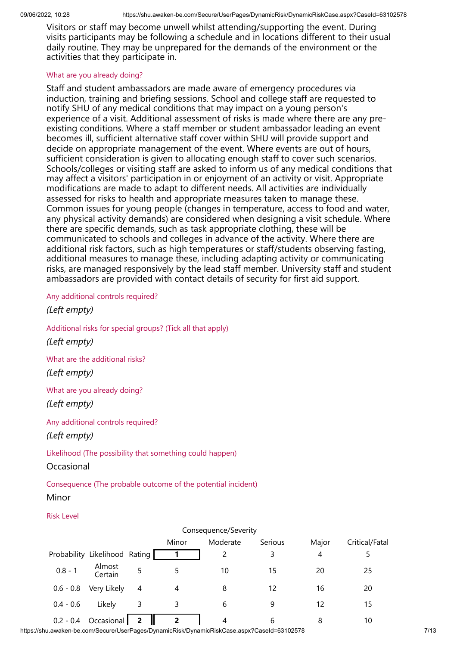Visitors or staff may become unwell whilst attending/supporting the event. During visits participants may be following a schedule and in locations different to their usual daily routine. They may be unprepared for the demands of the environment or the activities that they participate in.

#### What are you already doing?

Staff and student ambassadors are made aware of emergency procedures via induction, training and briefing sessions. School and college staff are requested to notify SHU of any medical conditions that may impact on a young person's experience of a visit. Additional assessment of risks is made where there are any preexisting conditions. Where a staff member or student ambassador leading an event becomes ill, sufficient alternative staff cover within SHU will provide support and decide on appropriate management of the event. Where events are out of hours, sufficient consideration is given to allocating enough staff to cover such scenarios. Schools/colleges or visiting staff are asked to inform us of any medical conditions that may affect a visitors' participation in or enjoyment of an activity or visit. Appropriate modifications are made to adapt to different needs. All activities are individually assessed for risks to health and appropriate measures taken to manage these. Common issues for young people (changes in temperature, access to food and water, any physical activity demands) are considered when designing a visit schedule. Where there are specific demands, such as task appropriate clothing, these will be communicated to schools and colleges in advance of the activity. Where there are additional risk factors, such as high temperatures or staff/students observing fasting, additional measures to manage these, including adapting activity or communicating risks, are managed responsively by the lead staff member. University staff and student ambassadors are provided with contact details of security for first aid support.

Any additional controls required?

*(Left empty)*

Additional risks for special groups? (Tick all that apply)

*(Left empty)*

What are the additional risks?

*(Left empty)*

What are you already doing?

*(Left empty)*

Any additional controls required?

*(Left empty)*

Likelihood (The possibility that something could happen)

**Occasional** 

Consequence (The probable outcome of the potential incident)

Minor

#### Risk Level

|             | Consequence/Severity          |   |                |                |         |       |                |  |  |  |  |  |
|-------------|-------------------------------|---|----------------|----------------|---------|-------|----------------|--|--|--|--|--|
|             |                               |   | Minor          | Moderate       | Serious | Major | Critical/Fatal |  |  |  |  |  |
|             | Probability Likelihood Rating |   |                |                | 3       | 4     | 5              |  |  |  |  |  |
| $0.8 - 1$   | Almost<br>Certain             | 5 | 5              | 10             | 15      | 20    | 25             |  |  |  |  |  |
| $0.6 - 0.8$ | Very Likely                   | 4 | 4              | 8              | 12      | 16    | 20             |  |  |  |  |  |
| $0.4 - 0.6$ | Likely                        | 3 | 3              | 6              | 9       | 12    | 15             |  |  |  |  |  |
|             | $0.2 - 0.4$ Occasional 2      |   | $\overline{2}$ | $\overline{4}$ | 6       | 8     | 10             |  |  |  |  |  |

https://shu.awaken-be.com/Secure/UserPages/DynamicRisk/DynamicRiskCase.aspx?CaseId=63102578 7/13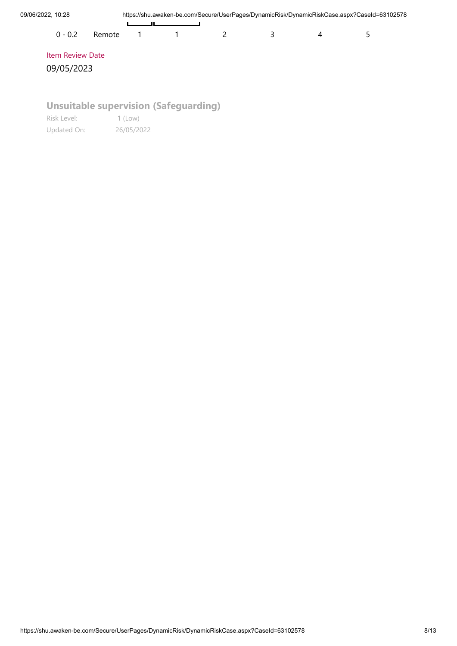|  | 0 - 0.2 Remote 1 1 1 |  |  |  |
|--|----------------------|--|--|--|
|  |                      |  |  |  |

# Item Review Date 09/05/2023

# **Unsuitable supervision (Safeguarding)**

Risk Level: 1 (Low) Updated On: 26/05/2022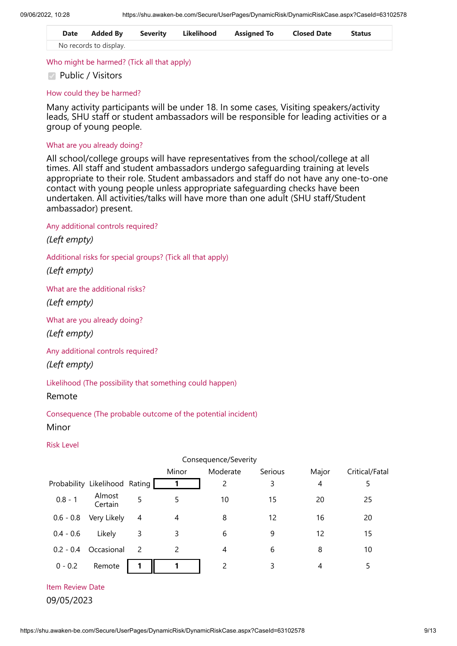|                        | Date Added By Severity Likelihood Assigned To | <b>Closed Date</b> | <b>Status</b> |  |
|------------------------|-----------------------------------------------|--------------------|---------------|--|
| No records to display. |                                               |                    |               |  |

Who might be harmed? (Tick all that apply)

## **▼** Public / Visitors

## How could they be harmed?

Many activity participants will be under 18. In some cases, Visiting speakers/activity leads, SHU staff or student ambassadors will be responsible for leading activities or a group of young people.

## What are you already doing?

All school/college groups will have representatives from the school/college at all times. All staff and student ambassadors undergo safeguarding training at levels appropriate to their role. Student ambassadors and staff do not have any one-to-one contact with young people unless appropriate safeguarding checks have been undertaken. All activities/talks will have more than one adult (SHU staff/Student ambassador) present.

Any additional controls required?

*(Left empty)*

Additional risks for special groups? (Tick all that apply)

*(Left empty)*

What are the additional risks?

*(Left empty)*

What are you already doing?

*(Left empty)*

Any additional controls required?

*(Left empty)*

Likelihood (The possibility that something could happen)

Remote

Consequence (The probable outcome of the potential incident)

Minor

## Risk Level

| Consequence/Severity |                               |                |               |          |         |       |                |  |  |
|----------------------|-------------------------------|----------------|---------------|----------|---------|-------|----------------|--|--|
|                      |                               |                | Minor         | Moderate | Serious | Major | Critical/Fatal |  |  |
|                      | Probability Likelihood Rating |                |               | 2        | 3       | 4     | 5              |  |  |
| $0.8 - 1$            | Almost<br>Certain             | 5              | 5             | 10       | 15      | 20    | 25             |  |  |
| $0.6 - 0.8$          | Very Likely                   | 4              | 4             | 8        | 12      | 16    | 20             |  |  |
| $0.4 - 0.6$          | Likely                        | 3              | 3             | 6        | 9       | 12    | 15             |  |  |
| $0.2 - 0.4$          | Occasional                    | $\overline{2}$ | $\mathcal{P}$ | 4        | 6       | 8     | 10             |  |  |
| $0 - 0.2$            | Remote                        |                |               | 2        | 3       | 4     | 5              |  |  |

## Item Review Date

09/05/2023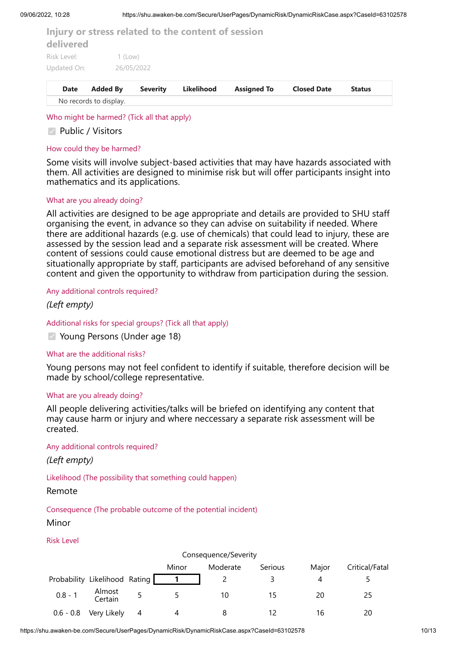| delivered   |                        |                 | Injury or stress related to the content of session |                    |                    |               |
|-------------|------------------------|-----------------|----------------------------------------------------|--------------------|--------------------|---------------|
| Risk Level: | $1$ (Low)              |                 |                                                    |                    |                    |               |
| Updated On: |                        | 26/05/2022      |                                                    |                    |                    |               |
| <b>Date</b> | <b>Added By</b>        | <b>Severity</b> | Likelihood                                         | <b>Assigned To</b> | <b>Closed Date</b> | <b>Status</b> |
|             | No records to display. |                 |                                                    |                    |                    |               |

Who might be harmed? (Tick all that apply)

#### Public / Visitors

#### How could they be harmed?

Some visits will involve subject-based activities that may have hazards associated with them. All activities are designed to minimise risk but will offer participants insight into mathematics and its applications.

#### What are you already doing?

All activities are designed to be age appropriate and details are provided to SHU staff organising the event, in advance so they can advise on suitability if needed. Where there are additional hazards (e.g. use of chemicals) that could lead to injury, these are assessed by the session lead and a separate risk assessment will be created. Where content of sessions could cause emotional distress but are deemed to be age and situationally appropriate by staff, participants are advised beforehand of any sensitive content and given the opportunity to withdraw from participation during the session.

## Any additional controls required?

#### *(Left empty)*

Additional risks for special groups? (Tick all that apply)

Young Persons (Under age 18)

#### What are the additional risks?

Young persons may not feel confident to identify if suitable, therefore decision will be made by school/college representative.

#### What are you already doing?

All people delivering activities/talks will be briefed on identifying any content that may cause harm or injury and where neccessary a separate risk assessment will be created.

Any additional controls required?

*(Left empty)*

Likelihood (The possibility that something could happen)

Remote

Consequence (The probable outcome of the potential incident)

#### Minor

#### Risk Level

|             |                               |   |       | Consequence/Severity |                |       |                |
|-------------|-------------------------------|---|-------|----------------------|----------------|-------|----------------|
|             |                               |   | Minor | Moderate             | <b>Serious</b> | Maior | Critical/Fatal |
|             | Probability Likelihood Rating |   |       |                      |                |       | ╮              |
|             | 0.8 - 1 Almost<br>Certain     | 5 |       | 10                   |                | 20    | 25             |
| $0.6 - 0.8$ | Very Likely                   | 4 |       |                      |                | 16    | 20             |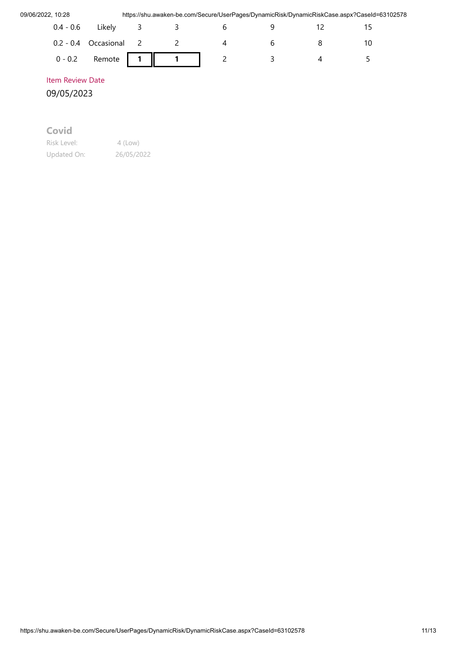| 09/06/2022, 10:28 |                        | https://shu.awaken-be.com/Secure/UserPages/DynamicRisk/DynamicRiskCase.aspx?CaseId=63102578 |   |  |    |  |
|-------------------|------------------------|---------------------------------------------------------------------------------------------|---|--|----|--|
| $0.4 - 0.6$       | Likelv                 | 353                                                                                         |   |  |    |  |
|                   | 0.2 - 0.4 Occasional 2 |                                                                                             | 4 |  | 10 |  |
|                   |                        | 0 - 0.2 Remote $\begin{vmatrix} 1 & 1 & 1 \\ 1 & 1 & 2 \end{vmatrix}$ 2                     |   |  |    |  |
|                   |                        |                                                                                             |   |  |    |  |

# Item Review Date

09/05/2023

**Covid**

Risk Level: 4 (Low) Updated On: 26/05/2022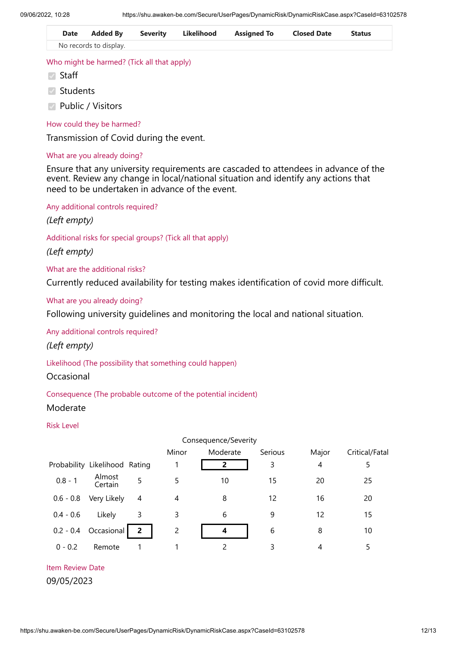| Date |                        | Added By         Severity        Likelihood        Assigned To | <b>Closed Date</b> | Status |  |
|------|------------------------|----------------------------------------------------------------|--------------------|--------|--|
|      | No records to display. |                                                                |                    |        |  |

## Who might be harmed? (Tick all that apply)

- **⊘** Staff
- **⊘** Students
- **Public / Visitors**

## How could they be harmed?

Transmission of Covid during the event.

## What are you already doing?

Ensure that any university requirements are cascaded to attendees in advance of the event. Review any change in local/national situation and identify any actions that need to be undertaken in advance of the event.

Any additional controls required?

*(Left empty)*

Additional risks for special groups? (Tick all that apply)

*(Left empty)*

What are the additional risks?

Currently reduced availability for testing makes identification of covid more difficult.

## What are you already doing?

Following university guidelines and monitoring the local and national situation.

Any additional controls required?

*(Left empty)*

Likelihood (The possibility that something could happen)

## **Occasional**

Consequence (The probable outcome of the potential incident)

# Moderate

# Risk Level

|             | Consequence/Severity          |                |       |              |         |       |                |  |  |  |
|-------------|-------------------------------|----------------|-------|--------------|---------|-------|----------------|--|--|--|
|             |                               |                | Minor | Moderate     | Serious | Major | Critical/Fatal |  |  |  |
|             | Probability Likelihood Rating |                | 1     | $\mathbf{2}$ | 3       | 4     | 5              |  |  |  |
| $0.8 - 1$   | Almost<br>Certain             | 5              | 5     | 10           | 15      | 20    | 25             |  |  |  |
| $0.6 - 0.8$ | Very Likely                   | 4              | 4     | 8            | 12      | 16    | 20             |  |  |  |
| $0.4 - 0.6$ | Likely                        | 3              | 3     | 6            | 9       | 12    | 15             |  |  |  |
| $0.2 - 0.4$ | Occasional                    | $\overline{2}$ | 2     | 4            | 6       | 8     | 10             |  |  |  |
| $0 - 0.2$   | Remote                        |                |       |              | 3       | 4     | 5              |  |  |  |

## Item Review Date

09/05/2023